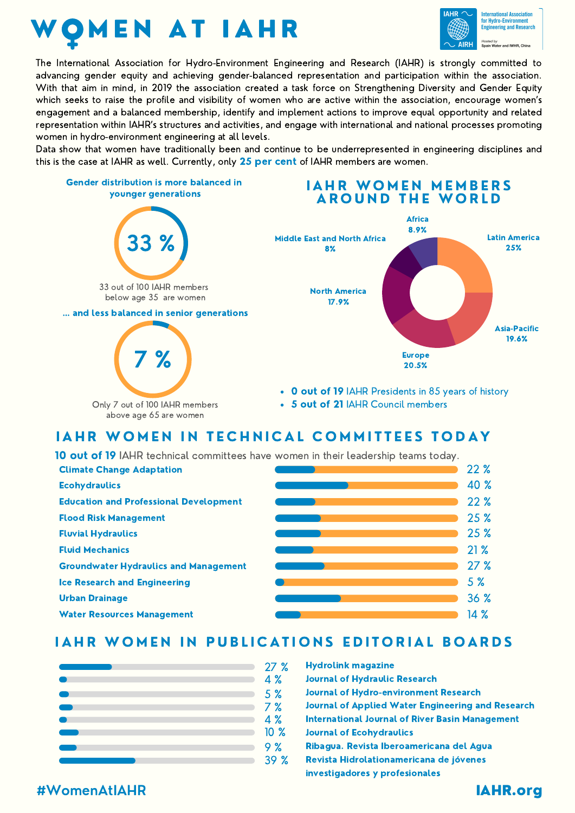



The International Association for Hydro-Environment Engineering and Research (IAHR) is strongly committed to advancing gender equity and achieving gender-balanced representation and participation within the association. With that aim in mind, in 2019 the association created a task force on Strengthening Diversity and Gender Equity which seeks to raise the profile and visibility of women who are active within the association, encourage women's engagement and a balanced membership, identify and implement actions to improve equal opportunity and related representation within IAHR's structures and activities, and engage with international and national processes promoting women in hydro-environment engineering at all levels.

Data show that women have traditionally been and continue to be underrepresented in engineering disciplines and this is the case at IAHR as well. Currently, only 25 per cent of IAHR members are women.



## IAHR WOMEN IN TECHNICAL COMMITTEES TODAY

10 out of 19 IAHR technical committees have women in their leadership teams today.



#### IAHR WOMEN IN PUBLICATIONS EDITORIAL BOARDS

|  | 27%             | <b>Hydrolink magazine</b>                                |
|--|-----------------|----------------------------------------------------------|
|  | 4 %             | <b>Journal of Hydraulic Research</b>                     |
|  | 5 <sup>%</sup>  | <b>Journal of Hydro-environment Research</b>             |
|  | 7%              | <b>Journal of Applied Water Engineering and Research</b> |
|  | 4%              | <b>International Journal of River Basin Management</b>   |
|  | 10 <sub>8</sub> | <b>Journal of Ecohydraulics</b>                          |
|  | 9%              | Ribagua. Revista Iberoamericana del Agua                 |
|  | 39%             | Revista Hidrolationamericana de jóvenes                  |
|  |                 | investigadores y profesionales                           |

#### #WomenAtIAHR IAHR.org